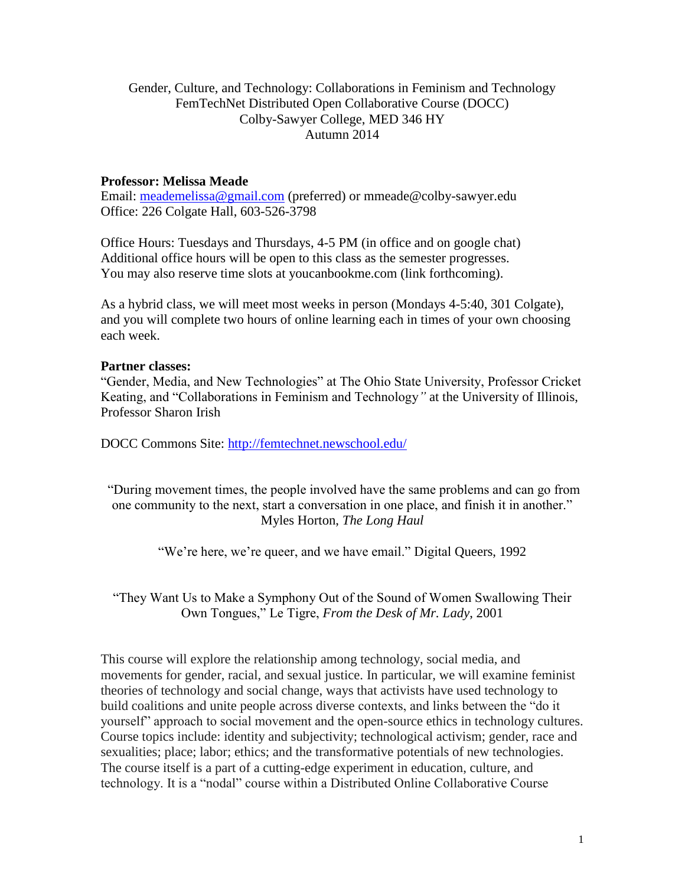## Gender, Culture, and Technology: Collaborations in Feminism and Technology FemTechNet Distributed Open Collaborative Course (DOCC) Colby-Sawyer College, MED 346 HY Autumn 2014

### **Professor: Melissa Meade**

Email: [meademelissa@gmail.com](mailto:meademelissa@gmail.com) (preferred) or mmeade@colby-sawyer.edu Office: 226 Colgate Hall, 603-526-3798

Office Hours: Tuesdays and Thursdays, 4-5 PM (in office and on google chat) Additional office hours will be open to this class as the semester progresses. You may also reserve time slots at youcanbookme.com (link forthcoming).

As a hybrid class, we will meet most weeks in person (Mondays 4-5:40, 301 Colgate), and you will complete two hours of online learning each in times of your own choosing each week.

#### **Partner classes:**

"Gender, Media, and New Technologies" at The Ohio State University, Professor Cricket Keating, and "Collaborations in Feminism and Technology*"* at the University of Illinois, Professor Sharon Irish

DOCC Commons Site: [http://femtechnet.newschool.edu/](http://femtechnet.newschool.edu/course-2013/)

"During movement times, the people involved have the same problems and can go from one community to the next, start a conversation in one place, and finish it in another." Myles Horton, *The Long Haul*

"We're here, we're queer, and we have email." Digital Queers, 1992

"They Want Us to Make a Symphony Out of the Sound of Women Swallowing Their Own Tongues," Le Tigre, *From the Desk of Mr. Lady*, 2001

This course will explore the relationship among technology, social media, and movements for gender, racial, and sexual justice. In particular, we will examine feminist theories of technology and social change, ways that activists have used technology to build coalitions and unite people across diverse contexts, and links between the "do it yourself" approach to social movement and the open-source ethics in technology cultures. Course topics include: identity and subjectivity; technological activism; gender, race and sexualities; place; labor; ethics; and the transformative potentials of new technologies. The course itself is a part of a cutting-edge experiment in education, culture, and technology. It is a "nodal" course within a Distributed Online Collaborative Course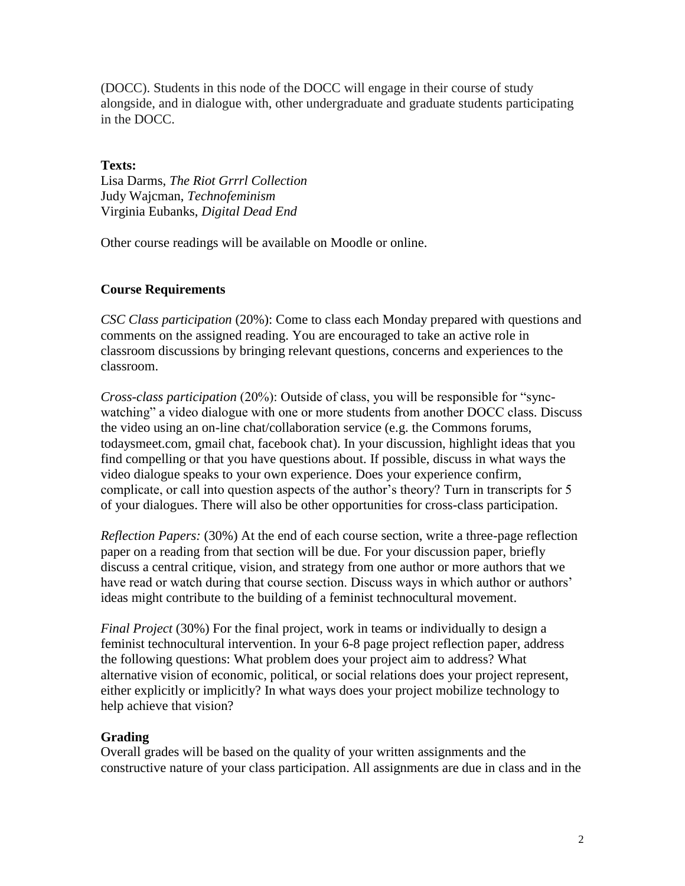(DOCC). Students in this node of the DOCC will engage in their course of study alongside, and in dialogue with, other undergraduate and graduate students participating in the DOCC.

## **Texts:**

Lisa Darms, *The Riot Grrrl Collection* Judy Wajcman, *Technofeminism* Virginia Eubanks, *Digital Dead End*

Other course readings will be available on Moodle or online.

# **Course Requirements**

*CSC Class participation* (20%): Come to class each Monday prepared with questions and comments on the assigned reading. You are encouraged to take an active role in classroom discussions by bringing relevant questions, concerns and experiences to the classroom.

*Cross-class participation* (20%): Outside of class, you will be responsible for "syncwatching" a video dialogue with one or more students from another DOCC class. Discuss the video using an on-line chat/collaboration service (e.g. the Commons forums, todaysmeet.com, gmail chat, facebook chat). In your discussion, highlight ideas that you find compelling or that you have questions about. If possible, discuss in what ways the video dialogue speaks to your own experience. Does your experience confirm, complicate, or call into question aspects of the author's theory? Turn in transcripts for 5 of your dialogues. There will also be other opportunities for cross-class participation.

*Reflection Papers:* (30%) At the end of each course section, write a three-page reflection paper on a reading from that section will be due. For your discussion paper, briefly discuss a central critique, vision, and strategy from one author or more authors that we have read or watch during that course section. Discuss ways in which author or authors' ideas might contribute to the building of a feminist technocultural movement.

*Final Project* (30%) For the final project, work in teams or individually to design a feminist technocultural intervention. In your 6-8 page project reflection paper, address the following questions: What problem does your project aim to address? What alternative vision of economic, political, or social relations does your project represent, either explicitly or implicitly? In what ways does your project mobilize technology to help achieve that vision?

# **Grading**

Overall grades will be based on the quality of your written assignments and the constructive nature of your class participation. All assignments are due in class and in the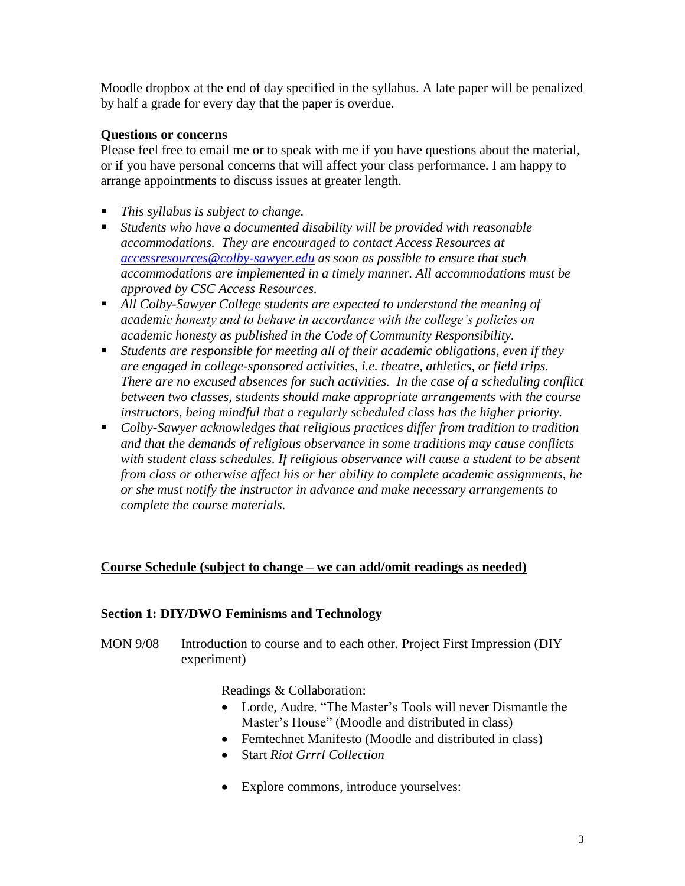Moodle dropbox at the end of day specified in the syllabus. A late paper will be penalized by half a grade for every day that the paper is overdue.

## **Questions or concerns**

Please feel free to email me or to speak with me if you have questions about the material, or if you have personal concerns that will affect your class performance. I am happy to arrange appointments to discuss issues at greater length.

- *This syllabus is subject to change.*
- *Students who have a documented disability will be provided with reasonable accommodations. They are encouraged to contact Access Resources at [accessresources@colby-sawyer.edu](mailto:accessresources@colby-sawyer.edu) as soon as possible to ensure that such accommodations are implemented in a timely manner. All accommodations must be approved by CSC Access Resources.*
- *All Colby-Sawyer College students are expected to understand the meaning of academic honesty and to behave in accordance with the college's policies on academic honesty as published in the Code of Community Responsibility.*
- *Students are responsible for meeting all of their academic obligations, even if they are engaged in college-sponsored activities, i.e. theatre, athletics, or field trips. There are no excused absences for such activities. In the case of a scheduling conflict between two classes, students should make appropriate arrangements with the course instructors, being mindful that a regularly scheduled class has the higher priority.*
- *Colby-Sawyer acknowledges that religious practices differ from tradition to tradition and that the demands of religious observance in some traditions may cause conflicts with student class schedules. If religious observance will cause a student to be absent from class or otherwise affect his or her ability to complete academic assignments, he or she must notify the instructor in advance and make necessary arrangements to complete the course materials.*

# **Course Schedule (subject to change – we can add/omit readings as needed)**

#### **Section 1: DIY/DWO Feminisms and Technology**

MON 9/08 Introduction to course and to each other. Project First Impression (DIY experiment)

Readings & Collaboration:

- Lorde, Audre. "The Master's Tools will never Dismantle the Master's House" (Moodle and distributed in class)
- Femtechnet Manifesto (Moodle and distributed in class)
- Start *Riot Grrrl Collection*
- Explore commons, introduce yourselves: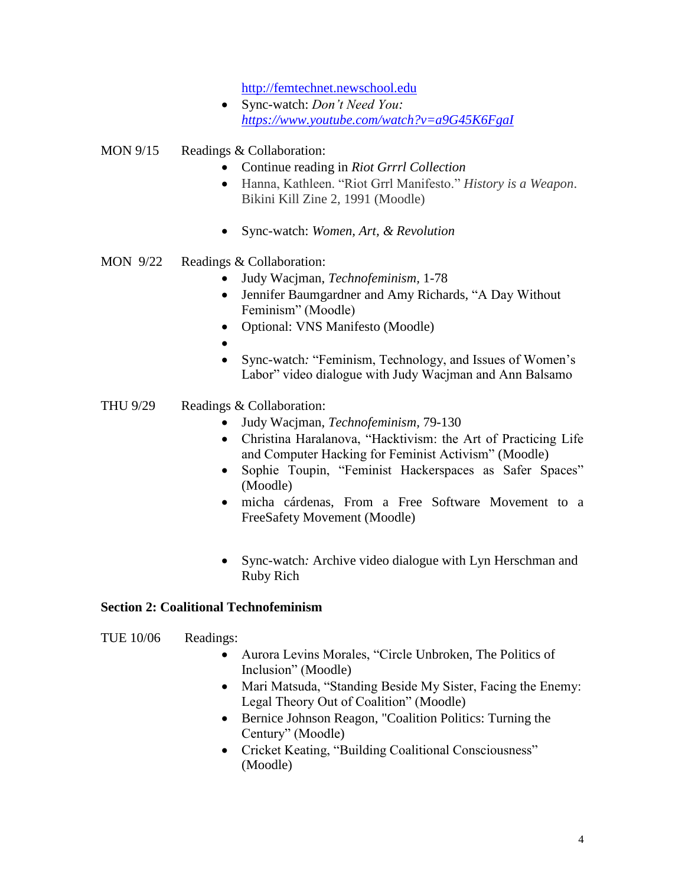[http://femtechnet.newschool.edu](http://femtechnet.newschool.edu/)

 Sync-watch: *Don't Need You: <https://www.youtube.com/watch?v=a9G45K6FgaI>*

MON 9/15 Readings & Collaboration:

- Continue reading in *Riot Grrrl Collection*
- Hanna, Kathleen. "Riot Grrl Manifesto." *History is a Weapon*. Bikini Kill Zine 2, 1991 (Moodle)
- Sync-watch: *Women, Art, & Revolution*
- MON 9/22 Readings & Collaboration:
	- Judy Wacjman, *Technofeminism,* 1-78
	- Jennifer Baumgardner and Amy Richards, "A Day Without Feminism" (Moodle)
	- Optional: VNS Manifesto (Moodle)
	- $\bullet$
	- Sync-watch*:* "Feminism, Technology, and Issues of Women's Labor" video dialogue with Judy Wacjman and Ann Balsamo
- THU 9/29 Readings & Collaboration:
	- Judy Wacjman, *Technofeminism,* 79-130
	- Christina Haralanova, "Hacktivism: the Art of Practicing Life and Computer Hacking for Feminist Activism" (Moodle)
	- Sophie Toupin, "Feminist Hackerspaces as Safer Spaces" (Moodle)
	- micha cárdenas, [From a Free Software Movement to a](http://dpi.studioxx.org/en/free-software-movement-free-safety-movement)  [FreeSafety Movement](http://dpi.studioxx.org/en/free-software-movement-free-safety-movement) (Moodle)
	- Sync-watch*:* Archive video dialogue with Lyn Herschman and Ruby Rich

#### **Section 2: Coalitional Technofeminism**

TUE 10/06 Readings:

- Aurora Levins Morales, "Circle Unbroken, The Politics of Inclusion" (Moodle)
- Mari Matsuda, "Standing Beside My Sister, Facing the Enemy: Legal Theory Out of Coalition" (Moodle)
- Bernice Johnson Reagon, "Coalition Politics: Turning the Century" (Moodle)
- Cricket Keating, "Building Coalitional Consciousness" (Moodle)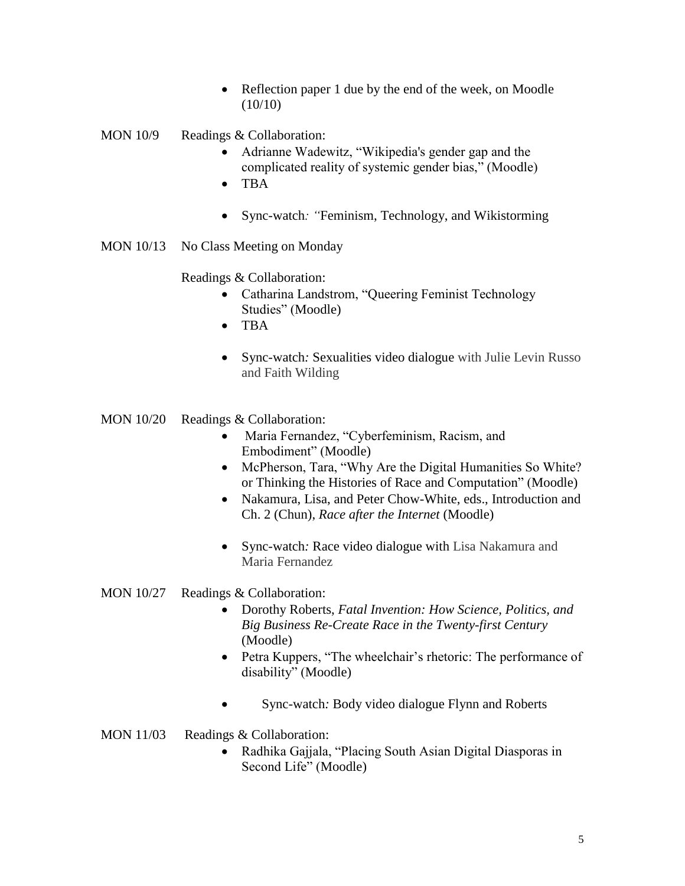- Reflection paper 1 due by the end of the week, on Moodle (10/10)
- MON 10/9 Readings & Collaboration:
	- Adrianne Wadewitz, "Wikipedia's gender gap and the complicated reality of systemic gender bias," (Moodle)
	- $\bullet$  TBA
	- Sync-watch*: "*Feminism, Technology, and Wikistorming
- MON 10/13 No Class Meeting on Monday

Readings & Collaboration:

- Catharina Landstrom, "Queering Feminist Technology Studies" (Moodle)
- TBA
- Sync-watch*:* Sexualities video dialogue with Julie Levin Russo and Faith Wilding
- MON 10/20 Readings & Collaboration:
	- Maria Fernandez, "Cyberfeminism, Racism, and Embodiment" (Moodle)
	- McPherson, Tara, "Why Are the Digital Humanities So White? or Thinking the Histories of Race and Computation" (Moodle)
	- Nakamura, Lisa, and Peter Chow-White, eds., Introduction and Ch. 2 (Chun), *Race after the Internet* (Moodle)
	- Sync-watch*:* Race video dialogue with Lisa Nakamura and Maria Fernandez

#### MON 10/27 Readings & Collaboration:

- Dorothy Roberts, *Fatal Invention: How Science, Politics, and Big Business Re-Create Race in the Twenty-first Century* (Moodle)
- Petra Kuppers, "The wheelchair's rhetoric: The performance of disability" (Moodle)
- Sync-watch*:* Body video dialogue Flynn and Roberts
- MON 11/03 Readings & Collaboration:
	- Radhika Gajjala, "Placing South Asian Digital Diasporas in Second Life" (Moodle)